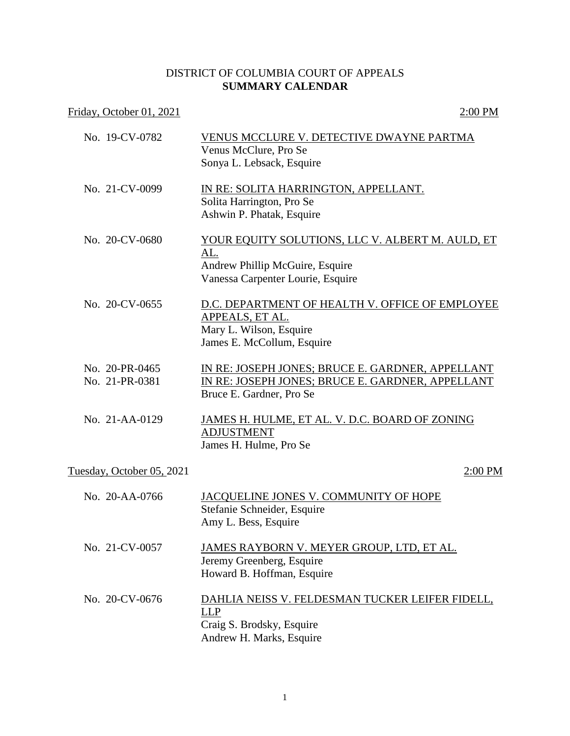## DISTRICT OF COLUMBIA COURT OF APPEALS **SUMMARY CALENDAR**

## Friday, October 01, 2021 2:00 PM

| No. 19-CV-0782                   | VENUS MCCLURE V. DETECTIVE DWAYNE PARTMA<br>Venus McClure, Pro Se                                                                      |
|----------------------------------|----------------------------------------------------------------------------------------------------------------------------------------|
|                                  | Sonya L. Lebsack, Esquire                                                                                                              |
| No. 21-CV-0099                   | IN RE: SOLITA HARRINGTON, APPELLANT.<br>Solita Harrington, Pro Se<br>Ashwin P. Phatak, Esquire                                         |
| No. 20-CV-0680                   | YOUR EQUITY SOLUTIONS, LLC V. ALBERT M. AULD, ET<br><u>AL.</u><br>Andrew Phillip McGuire, Esquire<br>Vanessa Carpenter Lourie, Esquire |
| No. 20-CV-0655                   | D.C. DEPARTMENT OF HEALTH V. OFFICE OF EMPLOYEE<br>APPEALS, ET AL.<br>Mary L. Wilson, Esquire<br>James E. McCollum, Esquire            |
| No. 20-PR-0465<br>No. 21-PR-0381 | IN RE: JOSEPH JONES; BRUCE E. GARDNER, APPELLANT<br>IN RE: JOSEPH JONES; BRUCE E. GARDNER, APPELLANT<br>Bruce E. Gardner, Pro Se       |
| No. 21-AA-0129                   | <u>JAMES H. HULME, ET AL. V. D.C. BOARD OF ZONING</u><br><b>ADJUSTMENT</b><br>James H. Hulme, Pro Se                                   |
| Tuesday, October 05, 2021        | 2:00 PM                                                                                                                                |
| No. 20-AA-0766                   | JACQUELINE JONES V. COMMUNITY OF HOPE<br>Stefanie Schneider, Esquire<br>Amy L. Bess, Esquire                                           |
| No. 21-CV-0057                   | <u>JAMES RAYBORN V. MEYER GROUP, LTD, ET AL.</u><br>Jeremy Greenberg, Esquire<br>Howard B. Hoffman, Esquire                            |
| No. 20-CV-0676                   | DAHLIA NEISS V. FELDESMAN TUCKER LEIFER FIDELL,<br>LLP<br>Craig S. Brodsky, Esquire<br>Andrew H. Marks, Esquire                        |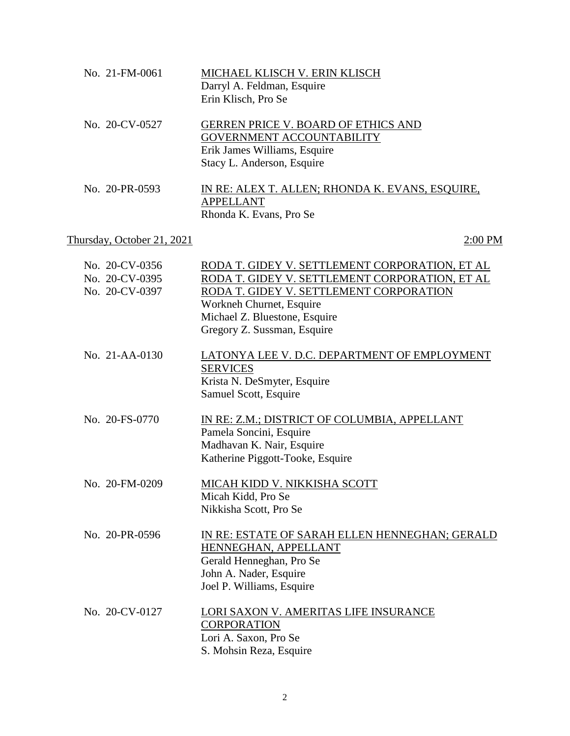| No. 21-FM-0061                                     | MICHAEL KLISCH V. ERIN KLISCH<br>Darryl A. Feldman, Esquire<br>Erin Klisch, Pro Se                                                                                                                                                      |
|----------------------------------------------------|-----------------------------------------------------------------------------------------------------------------------------------------------------------------------------------------------------------------------------------------|
| No. 20-CV-0527                                     | <b>GERREN PRICE V. BOARD OF ETHICS AND</b><br><b>GOVERNMENT ACCOUNTABILITY</b><br>Erik James Williams, Esquire<br>Stacy L. Anderson, Esquire                                                                                            |
| No. 20-PR-0593                                     | <u>IN RE: ALEX T. ALLEN; RHONDA K. EVANS, ESQUIRE,</u><br><b>APPELLANT</b><br>Rhonda K. Evans, Pro Se                                                                                                                                   |
| Thursday, October 21, 2021                         | 2:00 PM                                                                                                                                                                                                                                 |
| No. 20-CV-0356<br>No. 20-CV-0395<br>No. 20-CV-0397 | RODA T. GIDEY V. SETTLEMENT CORPORATION, ET AL<br>RODA T. GIDEY V. SETTLEMENT CORPORATION, ET AL<br>RODA T. GIDEY V. SETTLEMENT CORPORATION<br>Workneh Churnet, Esquire<br>Michael Z. Bluestone, Esquire<br>Gregory Z. Sussman, Esquire |
| No. 21-AA-0130                                     | LATONYA LEE V. D.C. DEPARTMENT OF EMPLOYMENT<br><b>SERVICES</b><br>Krista N. DeSmyter, Esquire<br>Samuel Scott, Esquire                                                                                                                 |
| No. 20-FS-0770                                     | IN RE: Z.M.; DISTRICT OF COLUMBIA, APPELLANT<br>Pamela Soncini, Esquire<br>Madhavan K. Nair, Esquire<br>Katherine Piggott-Tooke, Esquire                                                                                                |
| No. 20-FM-0209                                     | <u>MICAH KIDD V. NIKKISHA SCOTT</u><br>Micah Kidd, Pro Se<br>Nikkisha Scott, Pro Se                                                                                                                                                     |
| No. 20-PR-0596                                     | IN RE: ESTATE OF SARAH ELLEN HENNEGHAN; GERALD<br>HENNEGHAN, APPELLANT<br>Gerald Henneghan, Pro Se<br>John A. Nader, Esquire<br>Joel P. Williams, Esquire                                                                               |
| No. 20-CV-0127                                     | LORI SAXON V. AMERITAS LIFE INSURANCE<br><b>CORPORATION</b><br>Lori A. Saxon, Pro Se<br>S. Mohsin Reza, Esquire                                                                                                                         |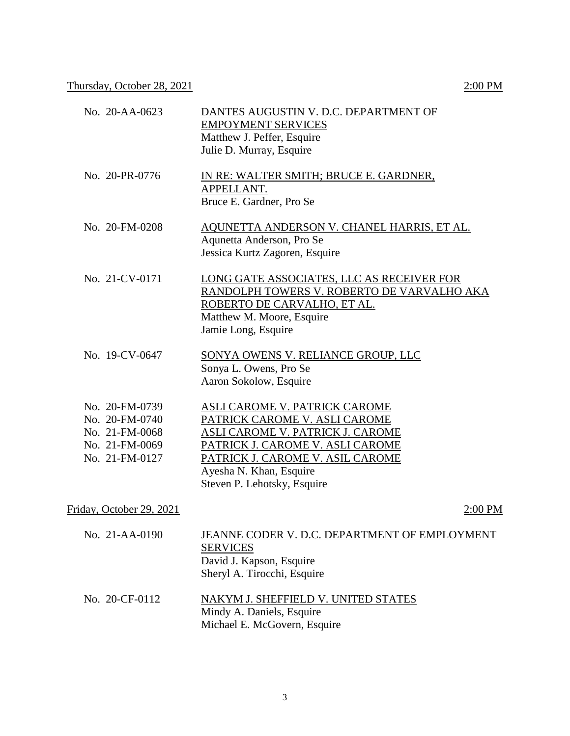| No. 20-AA-0623                                                                         | DANTES AUGUSTIN V. D.C. DEPARTMENT OF<br><b>EMPOYMENT SERVICES</b><br>Matthew J. Peffer, Esquire<br>Julie D. Murray, Esquire                                                                                                                |
|----------------------------------------------------------------------------------------|---------------------------------------------------------------------------------------------------------------------------------------------------------------------------------------------------------------------------------------------|
| No. 20-PR-0776                                                                         | <u>IN RE: WALTER SMITH; BRUCE E. GARDNER,</u><br>APPELLANT.<br>Bruce E. Gardner, Pro Se                                                                                                                                                     |
| No. 20-FM-0208                                                                         | AQUNETTA ANDERSON V. CHANEL HARRIS, ET AL.<br>Aqunetta Anderson, Pro Se<br>Jessica Kurtz Zagoren, Esquire                                                                                                                                   |
| No. 21-CV-0171                                                                         | LONG GATE ASSOCIATES, LLC AS RECEIVER FOR<br>RANDOLPH TOWERS V. ROBERTO DE VARVALHO AKA<br>ROBERTO DE CARVALHO, ET AL.<br>Matthew M. Moore, Esquire<br>Jamie Long, Esquire                                                                  |
| No. 19-CV-0647                                                                         | <b>SONYA OWENS V. RELIANCE GROUP, LLC</b><br>Sonya L. Owens, Pro Se<br>Aaron Sokolow, Esquire                                                                                                                                               |
| No. 20-FM-0739<br>No. 20-FM-0740<br>No. 21-FM-0068<br>No. 21-FM-0069<br>No. 21-FM-0127 | ASLI CAROME V. PATRICK CAROME<br>PATRICK CAROME V. ASLI CAROME<br><b>ASLI CAROME V. PATRICK J. CAROME</b><br>PATRICK J. CAROME V. ASLI CAROME<br>PATRICK J. CAROME V. ASIL CAROME<br>Ayesha N. Khan, Esquire<br>Steven P. Lehotsky, Esquire |
| Friday, October 29, 2021                                                               | 2:00 PM                                                                                                                                                                                                                                     |
| No. 21-AA-0190                                                                         | JEANNE CODER V. D.C. DEPARTMENT OF EMPLOYMENT<br><b>SERVICES</b><br>David J. Kapson, Esquire<br>Sheryl A. Tirocchi, Esquire                                                                                                                 |
| No. 20-CF-0112                                                                         | <u>NAKYM J. SHEFFIELD V. UNITED STATES</u><br>$1.11 \pm 1.7$                                                                                                                                                                                |

Mindy A. Daniels, Esquire Michael E. McGovern, Esquire